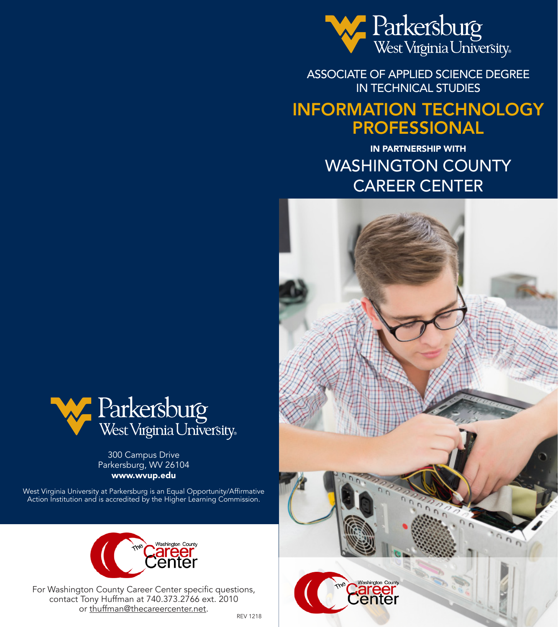

ASSOCIATE OF APPLIED SCIENCE DEGREE IN TECHNICAL STUDIES

# INFORMATION TECHNOLOGY PROFESSIONAL

IN PARTNERSHIP WITH WASHINGTON COUNTY CAREER CENTER





300 Campus Drive Parkersburg, WV 26104 www.wvup.edu

West Virginia University at Parkersburg is an Equal Opportunity/Affirmative Action Institution and is accredited by the Higher Learning Commission.



For Washington County Career Center specific questions, contact Tony Huffman at 740.373.2766 ext. 2010 or thuffman@thecareercenter.net.